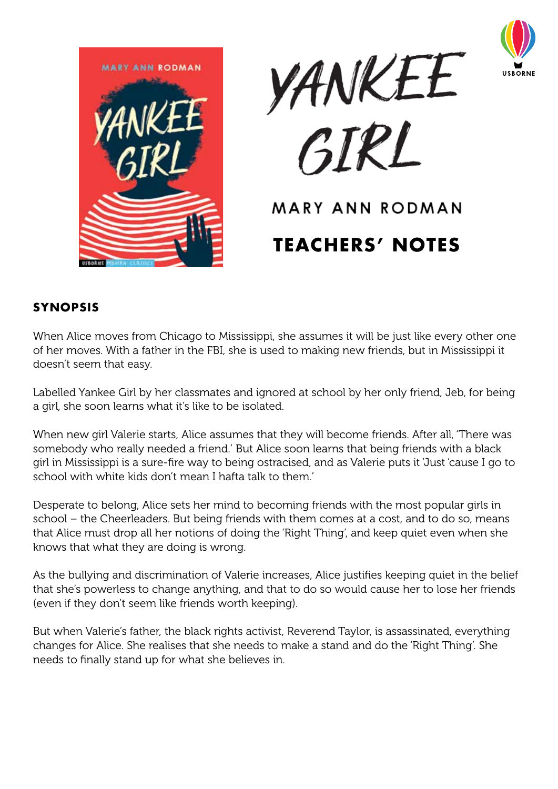





# MARY ANN RODMAN **Teachers' Notes**

## **Synopsis**

When Alice moves from Chicago to Mississippi, she assumes it will be just like every other one of her moves. With a father in the FBI, she is used to making new friends, but in Mississippi it doesn't seem that easy.

Labelled Yankee Girl by her classmates and ignored at school by her only friend, Jeb, for being a girl, she soon learns what it's like to be isolated.

When new girl Valerie starts, Alice assumes that they will become friends. After all, 'There was somebody who really needed a friend.' But Alice soon learns that being friends with a black girl in Mississippi is a sure-fire way to being ostracised, and as Valerie puts it 'Just 'cause I go to school with white kids don't mean I hafta talk to them.

Desperate to belong, Alice sets her mind to becoming friends with the most popular girls in school – the Cheerleaders. But being friends with them comes at a cost, and to do so, means that Alice must drop all her notions of doing the 'Right Thing', and keep quiet even when she knows that what they are doing is wrong.

As the bullying and discrimination of Valerie increases, Alice justifies keeping quiet in the belief that she's powerless to change anything, and that to do so would cause her to lose her friends (even if they don't seem like friends worth keeping).

But when Valerie's father, the black rights activist, Reverend Taylor, is assassinated, everything changes for Alice. She realises that she needs to make a stand and do the 'Right Thing'. She needs to finally stand up for what she believes in.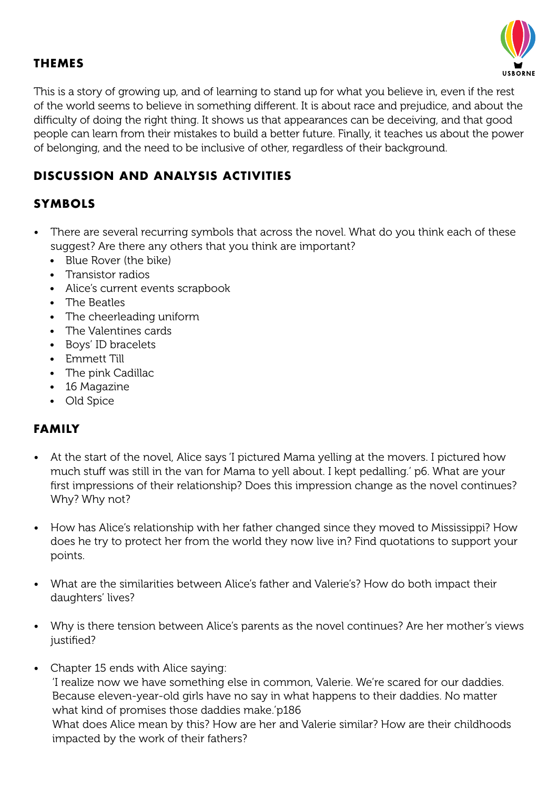

## **Themes**

This is a story of growing up, and of learning to stand up for what you believe in, even if the rest of the world seems to believe in something different. It is about race and prejudice, and about the difficulty of doing the right thing. It shows us that appearances can be deceiving, and that good people can learn from their mistakes to build a better future. Finally, it teaches us about the power of belonging, and the need to be inclusive of other, regardless of their background.

# **Discussion and Analysis Activities**

# **Symbols**

- There are several recurring symbols that across the novel. What do you think each of these suggest? Are there any others that you think are important?
	- Blue Rover (the bike)
	- • Transistor radios
	- Alice's current events scrapbook
	- • The Beatles
	- • The cheerleading uniform
	- • The Valentines cards
	- • Boys' ID bracelets
	- • Emmett Till
	- The pink Cadillac
	- 16 Magazine
	- • Old Spice

## **Family**

- At the start of the novel. Alice says 'I pictured Mama yelling at the movers. I pictured how much stuff was still in the van for Mama to yell about. I kept pedalling.' p6. What are your first impressions of their relationship? Does this impression change as the novel continues? Why? Why not?
- How has Alice's relationship with her father changed since they moved to Mississippi? How does he try to protect her from the world they now live in? Find quotations to support your points.
- • What are the similarities between Alice's father and Valerie's? How do both impact their daughters' lives?
- Why is there tension between Alice's parents as the novel continues? Are her mother's views justified?
- Chapter 15 ends with Alice saying: 'I realize now we have something else in common, Valerie. We're scared for our daddies. Because eleven-year-old girls have no say in what happens to their daddies. No matter what kind of promises those daddies make.'p186 What does Alice mean by this? How are her and Valerie similar? How are their childhoods impacted by the work of their fathers?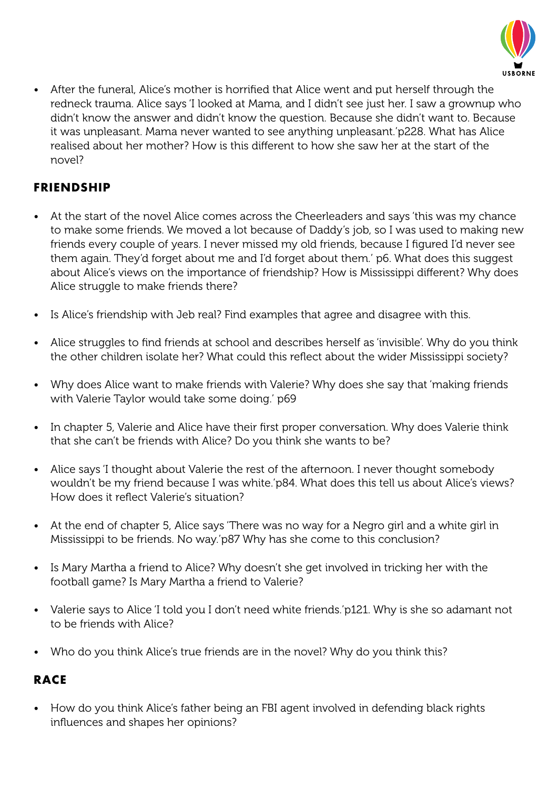

After the funeral, Alice's mother is horrified that Alice went and put herself through the redneck trauma. Alice says 'I looked at Mama, and I didn't see just her. I saw a grownup who didn't know the answer and didn't know the question. Because she didn't want to. Because it was unpleasant. Mama never wanted to see anything unpleasant.'p228. What has Alice realised about her mother? How is this different to how she saw her at the start of the novel?

# **Friendship**

- At the start of the novel Alice comes across the Cheerleaders and says 'this was my chance to make some friends. We moved a lot because of Daddy's job, so I was used to making new friends every couple of years. I never missed my old friends, because I figured I'd never see them again. They'd forget about me and I'd forget about them.' p6. What does this suggest about Alice's views on the importance of friendship? How is Mississippi different? Why does Alice struggle to make friends there?
- Is Alice's friendship with Jeb real? Find examples that agree and disagree with this.
- Alice struggles to find friends at school and describes herself as 'invisible'. Why do you think the other children isolate her? What could this reflect about the wider Mississippi society?
- Why does Alice want to make friends with Valerie? Why does she say that 'making friends with Valerie Taylor would take some doing.' p69
- In chapter 5, Valerie and Alice have their first proper conversation. Why does Valerie think that she can't be friends with Alice? Do you think she wants to be?
- Alice says 'I thought about Valerie the rest of the afternoon. I never thought somebody wouldn't be my friend because I was white.'p84. What does this tell us about Alice's views? How does it reflect Valerie's situation?
- At the end of chapter 5, Alice says 'There was no way for a Negro girl and a white girl in Mississippi to be friends. No way.'p87 Why has she come to this conclusion?
- Is Mary Martha a friend to Alice? Why doesn't she get involved in tricking her with the football game? Is Mary Martha a friend to Valerie?
- Valerie says to Alice 'I told you I don't need white friends.'p121. Why is she so adamant not to be friends with Alice?
- Who do you think Alice's true friends are in the novel? Why do you think this?

# **Race**

• How do you think Alice's father being an FBI agent involved in defending black rights influences and shapes her opinions?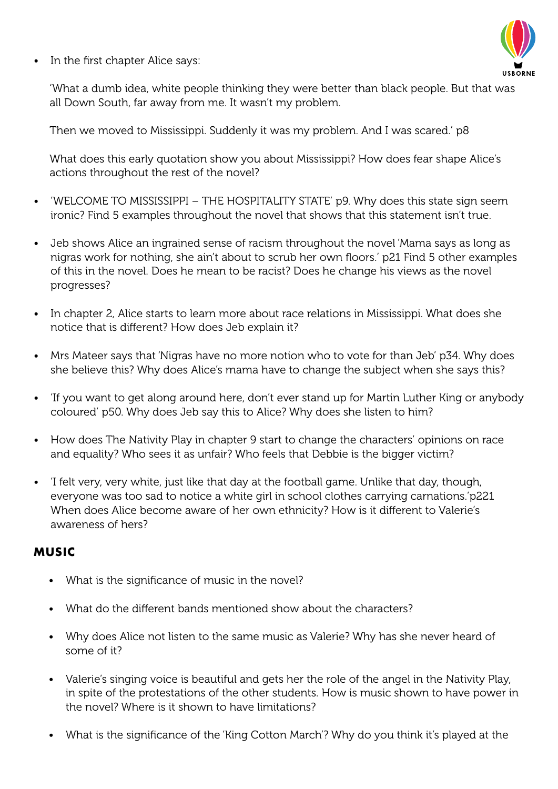In the first chapter Alice says:



'What a dumb idea, white people thinking they were better than black people. But that was all Down South, far away from me. It wasn't my problem.

Then we moved to Mississippi. Suddenly it was my problem. And I was scared.' p8

What does this early quotation show you about Mississippi? How does fear shape Alice's actions throughout the rest of the novel?

- 'WELCOME TO MISSISSIPPI THE HOSPITALITY STATE' p9. Why does this state sign seem ironic? Find 5 examples throughout the novel that shows that this statement isn't true.
- Jeb shows Alice an ingrained sense of racism throughout the novel 'Mama says as long as nigras work for nothing, she ain't about to scrub her own floors.' p21 Find 5 other examples of this in the novel. Does he mean to be racist? Does he change his views as the novel progresses?
- In chapter 2, Alice starts to learn more about race relations in Mississippi. What does she notice that is different? How does Jeb explain it?
- Mrs Mateer says that 'Nigras have no more notion who to vote for than Jeb' p34. Why does she believe this? Why does Alice's mama have to change the subject when she says this?
- 'If you want to get along around here, don't ever stand up for Martin Luther King or anybody coloured' p50. Why does Jeb say this to Alice? Why does she listen to him?
- How does The Nativity Play in chapter 9 start to change the characters' opinions on race and equality? Who sees it as unfair? Who feels that Debbie is the bigger victim?
- I felt very, very white, just like that day at the football game. Unlike that day, though, everyone was too sad to notice a white girl in school clothes carrying carnations.'p221 When does Alice become aware of her own ethnicity? How is it different to Valerie's awareness of hers?

#### **Music**

- What is the significance of music in the novel?
- What do the different bands mentioned show about the characters?
- Why does Alice not listen to the same music as Valerie? Why has she never heard of some of it?
- Valerie's singing voice is beautiful and gets her the role of the angel in the Nativity Play, in spite of the protestations of the other students. How is music shown to have power in the novel? Where is it shown to have limitations?
- What is the significance of the 'King Cotton March'? Why do you think it's played at the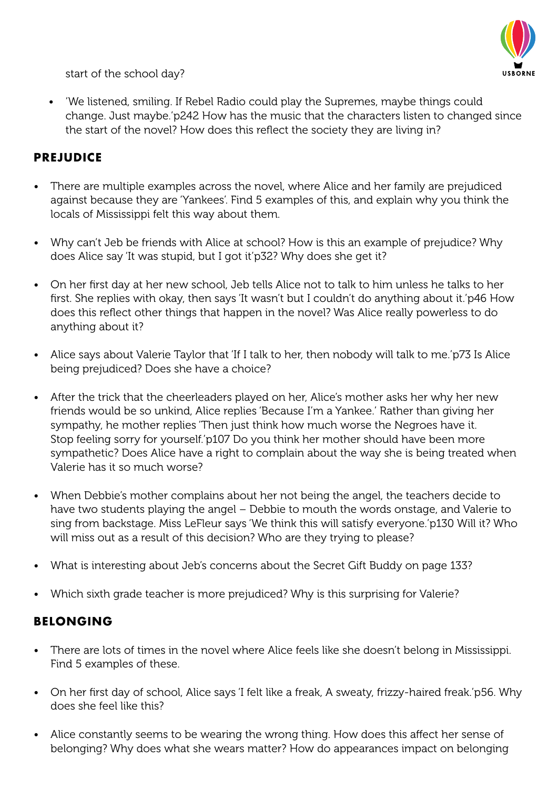

start of the school day?

• 'We listened, smiling. If Rebel Radio could play the Supremes, maybe things could change. Just maybe.'p242 How has the music that the characters listen to changed since the start of the novel? How does this reflect the society they are living in?

#### **Prejudice**

- There are multiple examples across the novel, where Alice and her family are prejudiced against because they are 'Yankees'. Find 5 examples of this, and explain why you think the locals of Mississippi felt this way about them.
- Why can't Jeb be friends with Alice at school? How is this an example of prejudice? Why does Alice say 'It was stupid, but I got it'p32? Why does she get it?
- On her first day at her new school, Jeb tells Alice not to talk to him unless he talks to her first. She replies with okay, then says 'It wasn't but I couldn't do anything about it.'p46 How does this reflect other things that happen in the novel? Was Alice really powerless to do anything about it?
- Alice says about Valerie Taylor that 'If I talk to her, then nobody will talk to me.'p73 Is Alice being prejudiced? Does she have a choice?
- After the trick that the cheerleaders played on her, Alice's mother asks her why her new friends would be so unkind, Alice replies 'Because I'm a Yankee.' Rather than giving her sympathy, he mother replies 'Then just think how much worse the Negroes have it. Stop feeling sorry for yourself.'p107 Do you think her mother should have been more sympathetic? Does Alice have a right to complain about the way she is being treated when Valerie has it so much worse?
- When Debbie's mother complains about her not being the angel, the teachers decide to have two students playing the angel – Debbie to mouth the words onstage, and Valerie to sing from backstage. Miss LeFleur says 'We think this will satisfy everyone.'p130 Will it? Who will miss out as a result of this decision? Who are they trying to please?
- What is interesting about Jeb's concerns about the Secret Gift Buddy on page 133?
- Which sixth grade teacher is more prejudiced? Why is this surprising for Valerie?

## **Belonging**

- There are lots of times in the novel where Alice feels like she doesn't belong in Mississippi. Find 5 examples of these.
- On her first day of school, Alice says 'I felt like a freak, A sweaty, frizzy-haired freak.'p56. Why does she feel like this?
- Alice constantly seems to be wearing the wrong thing. How does this affect her sense of belonging? Why does what she wears matter? How do appearances impact on belonging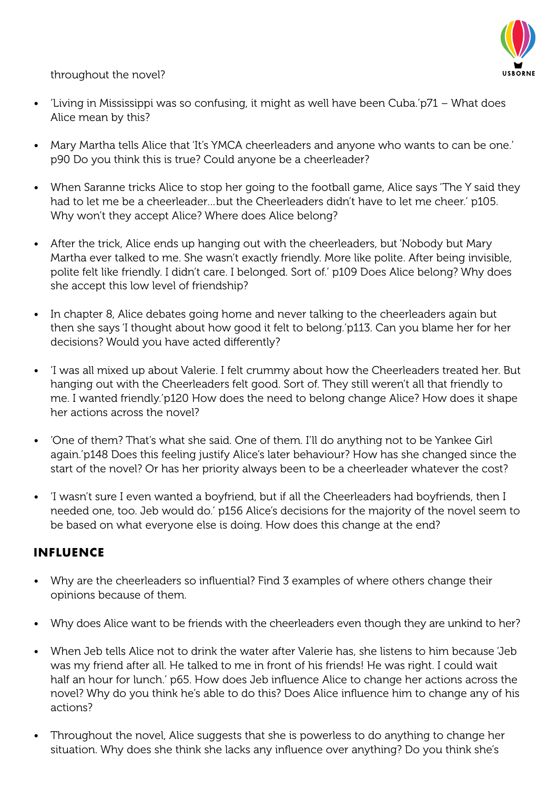throughout the novel?

- 'Living in Mississippi was so confusing, it might as well have been Cuba.'p71 What does Alice mean by this?
- Mary Martha tells Alice that 'It's YMCA cheerleaders and anyone who wants to can be one.' p90 Do you think this is true? Could anyone be a cheerleader?
- When Saranne tricks Alice to stop her going to the football game, Alice says 'The Y said they had to let me be a cheerleader…but the Cheerleaders didn't have to let me cheer.' p105. Why won't they accept Alice? Where does Alice belong?
- After the trick, Alice ends up hanging out with the cheerleaders, but 'Nobody but Mary Martha ever talked to me. She wasn't exactly friendly. More like polite. After being invisible, polite felt like friendly. I didn't care. I belonged. Sort of.' p109 Does Alice belong? Why does she accept this low level of friendship?
- In chapter 8, Alice debates going home and never talking to the cheerleaders again but then she says 'I thought about how good it felt to belong.'p113. Can you blame her for her decisions? Would you have acted differently?
- 'I was all mixed up about Valerie. I felt crummy about how the Cheerleaders treated her. But hanging out with the Cheerleaders felt good. Sort of. They still weren't all that friendly to me. I wanted friendly.'p120 How does the need to belong change Alice? How does it shape her actions across the novel?
- • 'One of them? That's what she said. One of them. I'll do anything not to be Yankee Girl again.'p148 Does this feeling justify Alice's later behaviour? How has she changed since the start of the novel? Or has her priority always been to be a cheerleader whatever the cost?
- 'I wasn't sure I even wanted a boyfriend, but if all the Cheerleaders had boyfriends, then I needed one, too. Jeb would do.' p156 Alice's decisions for the majority of the novel seem to be based on what everyone else is doing. How does this change at the end?

#### **Influence**

- Why are the cheerleaders so influential? Find 3 examples of where others change their opinions because of them.
- Why does Alice want to be friends with the cheerleaders even though they are unkind to her?
- When Jeb tells Alice not to drink the water after Valerie has, she listens to him because 'Jeb was my friend after all. He talked to me in front of his friends! He was right. I could wait half an hour for lunch.' p65. How does Jeb influence Alice to change her actions across the novel? Why do you think he's able to do this? Does Alice influence him to change any of his actions?
- Throughout the novel, Alice suggests that she is powerless to do anything to change her situation. Why does she think she lacks any influence over anything? Do you think she's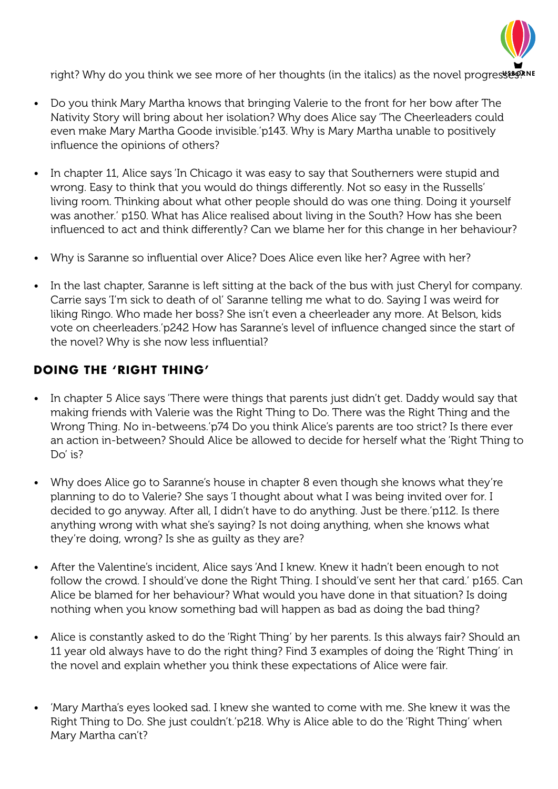

right? Why do you think we see more of her thoughts (in the italics) as the novel progresses?

- Do you think Mary Martha knows that bringing Valerie to the front for her bow after The Nativity Story will bring about her isolation? Why does Alice say 'The Cheerleaders could even make Mary Martha Goode invisible.'p143. Why is Mary Martha unable to positively influence the opinions of others?
- In chapter 11, Alice says 'In Chicago it was easy to say that Southerners were stupid and wrong. Easy to think that you would do things differently. Not so easy in the Russells' living room. Thinking about what other people should do was one thing. Doing it yourself was another.' p150. What has Alice realised about living in the South? How has she been influenced to act and think differently? Can we blame her for this change in her behaviour?
- Why is Saranne so influential over Alice? Does Alice even like her? Agree with her?
- In the last chapter, Saranne is left sitting at the back of the bus with just Cheryl for company. Carrie says 'I'm sick to death of ol' Saranne telling me what to do. Saying I was weird for liking Ringo. Who made her boss? She isn't even a cheerleader any more. At Belson, kids vote on cheerleaders.'p242 How has Saranne's level of influence changed since the start of the novel? Why is she now less influential?

## **Doing the 'Right Thing'**

- In chapter 5 Alice says 'There were things that parents just didn't get. Daddy would say that making friends with Valerie was the Right Thing to Do. There was the Right Thing and the Wrong Thing. No in-betweens.'p74 Do you think Alice's parents are too strict? Is there ever an action in-between? Should Alice be allowed to decide for herself what the 'Right Thing to Do' is?
- Why does Alice go to Saranne's house in chapter 8 even though she knows what they're planning to do to Valerie? She says 'I thought about what I was being invited over for. I decided to go anyway. After all, I didn't have to do anything. Just be there.'p112. Is there anything wrong with what she's saying? Is not doing anything, when she knows what they're doing, wrong? Is she as guilty as they are?
- After the Valentine's incident, Alice says 'And I knew. Knew it hadn't been enough to not follow the crowd. I should've done the Right Thing. I should've sent her that card.' p165. Can Alice be blamed for her behaviour? What would you have done in that situation? Is doing nothing when you know something bad will happen as bad as doing the bad thing?
- Alice is constantly asked to do the 'Right Thing' by her parents. Is this always fair? Should an 11 year old always have to do the right thing? Find 3 examples of doing the 'Right Thing' in the novel and explain whether you think these expectations of Alice were fair.
- 'Mary Martha's eyes looked sad. I knew she wanted to come with me. She knew it was the Right Thing to Do. She just couldn't.'p218. Why is Alice able to do the 'Right Thing' when Mary Martha can't?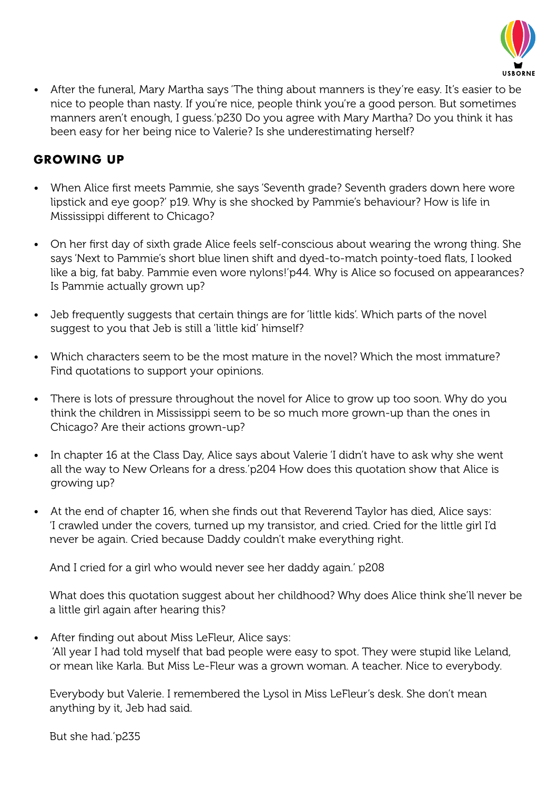

• After the funeral, Mary Martha says 'The thing about manners is they're easy. It's easier to be nice to people than nasty. If you're nice, people think you're a good person. But sometimes manners aren't enough, I guess.'p230 Do you agree with Mary Martha? Do you think it has been easy for her being nice to Valerie? Is she underestimating herself?

## **Growing Up**

- When Alice first meets Pammie, she says 'Seventh grade? Seventh graders down here wore lipstick and eye goop?' p19. Why is she shocked by Pammie's behaviour? How is life in Mississippi different to Chicago?
- On her first day of sixth grade Alice feels self-conscious about wearing the wrong thing. She says 'Next to Pammie's short blue linen shift and dyed-to-match pointy-toed flats, I looked like a big, fat baby. Pammie even wore nylons!'p44. Why is Alice so focused on appearances? Is Pammie actually grown up?
- Jeb frequently suggests that certain things are for 'little kids'. Which parts of the novel suggest to you that Jeb is still a 'little kid' himself?
- Which characters seem to be the most mature in the novel? Which the most immature? Find quotations to support your opinions.
- There is lots of pressure throughout the novel for Alice to grow up too soon. Why do you think the children in Mississippi seem to be so much more grown-up than the ones in Chicago? Are their actions grown-up?
- In chapter 16 at the Class Day, Alice says about Valerie 'I didn't have to ask why she went all the way to New Orleans for a dress.'p204 How does this quotation show that Alice is growing up?
- At the end of chapter 16, when she finds out that Reverend Taylor has died, Alice says: 'I crawled under the covers, turned up my transistor, and cried. Cried for the little girl I'd never be again. Cried because Daddy couldn't make everything right.

And I cried for a girl who would never see her daddy again.' p208

What does this quotation suggest about her childhood? Why does Alice think she'll never be a little girl again after hearing this?

• After finding out about Miss LeFleur, Alice says: 'All year I had told myself that bad people were easy to spot. They were stupid like Leland, or mean like Karla. But Miss Le-Fleur was a grown woman. A teacher. Nice to everybody.

Everybody but Valerie. I remembered the Lysol in Miss LeFleur's desk. She don't mean anything by it, Jeb had said.

But she had.'p235